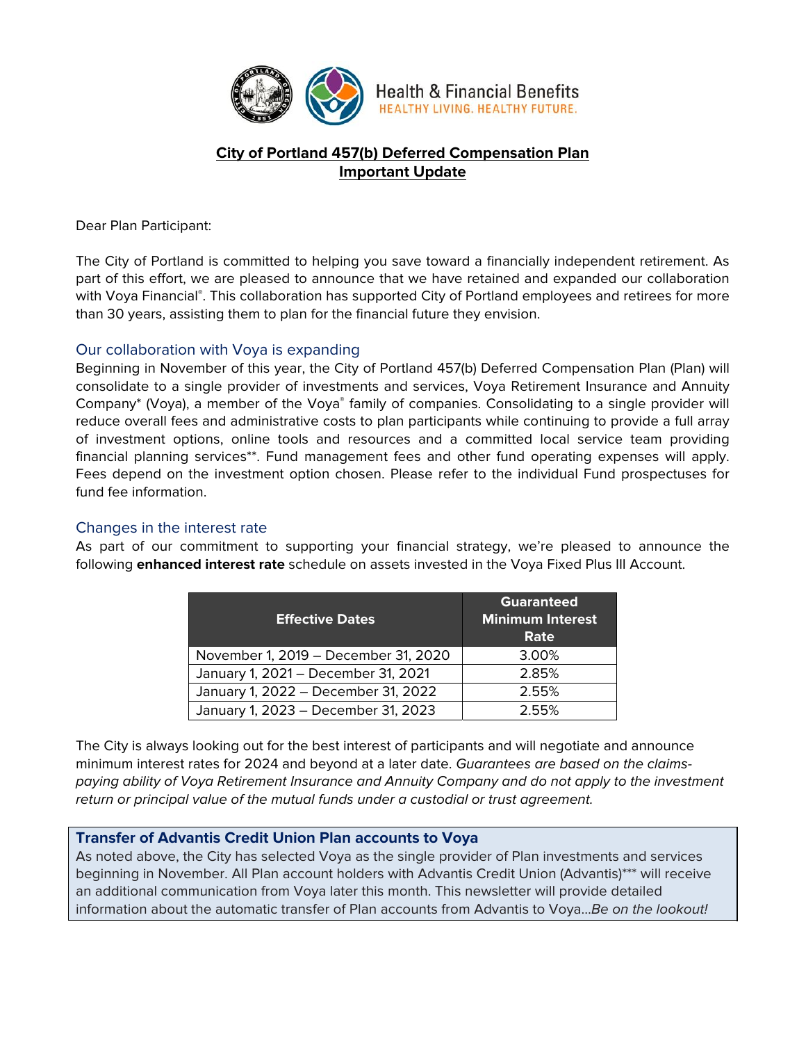

**Health & Financial Benefits** HEALTHY LIVING. HEALTHY FUTURE.

# **City of Portland 457(b) Deferred Compensation Plan Important Update**

Dear Plan Participant:

The City of Portland is committed to helping you save toward a financially independent retirement. As part of this effort, we are pleased to announce that we have retained and expanded our collaboration with Voya Financial®. This collaboration has supported City of Portland employees and retirees for more than 30 years, assisting them to plan for the financial future they envision.

## Our collaboration with Voya is expanding

Beginning in November of this year, the City of Portland 457(b) Deferred Compensation Plan (Plan) will consolidate to a single provider of investments and services, Voya Retirement Insurance and Annuity Company\* (Voya), a member of the Voya® family of companies. Consolidating to a single provider will reduce overall fees and administrative costs to plan participants while continuing to provide a full array of investment options, online tools and resources and a committed local service team providing financial planning services\*\*. Fund management fees and other fund operating expenses will apply. Fees depend on the investment option chosen. Please refer to the individual Fund prospectuses for fund fee information.

## Changes in the interest rate

As part of our commitment to supporting your financial strategy, we're pleased to announce the following **enhanced interest rate** schedule on assets invested in the Voya Fixed Plus III Account.

| <b>Effective Dates</b>               | <b>Guaranteed</b><br><b>Minimum Interest</b><br>Rate |
|--------------------------------------|------------------------------------------------------|
| November 1, 2019 - December 31, 2020 | 3.00%                                                |
| January 1, 2021 - December 31, 2021  | 2.85%                                                |
| January 1, 2022 - December 31, 2022  | 2.55%                                                |
| January 1, 2023 - December 31, 2023  | 2.55%                                                |

The City is always looking out for the best interest of participants and will negotiate and announce minimum interest rates for 2024 and beyond at a later date. Guarantees are based on the claimspaying ability of Voya Retirement Insurance and Annuity Company and do not apply to the investment return or principal value of the mutual funds under a custodial or trust agreement.

## **Transfer of Advantis Credit Union Plan accounts to Voya**

As noted above, the City has selected Voya as the single provider of Plan investments and services beginning in November. All Plan account holders with Advantis Credit Union (Advantis)\*\*\* will receive an additional communication from Voya later this month. This newsletter will provide detailed information about the automatic transfer of Plan accounts from Advantis to Voya…Be on the lookout!